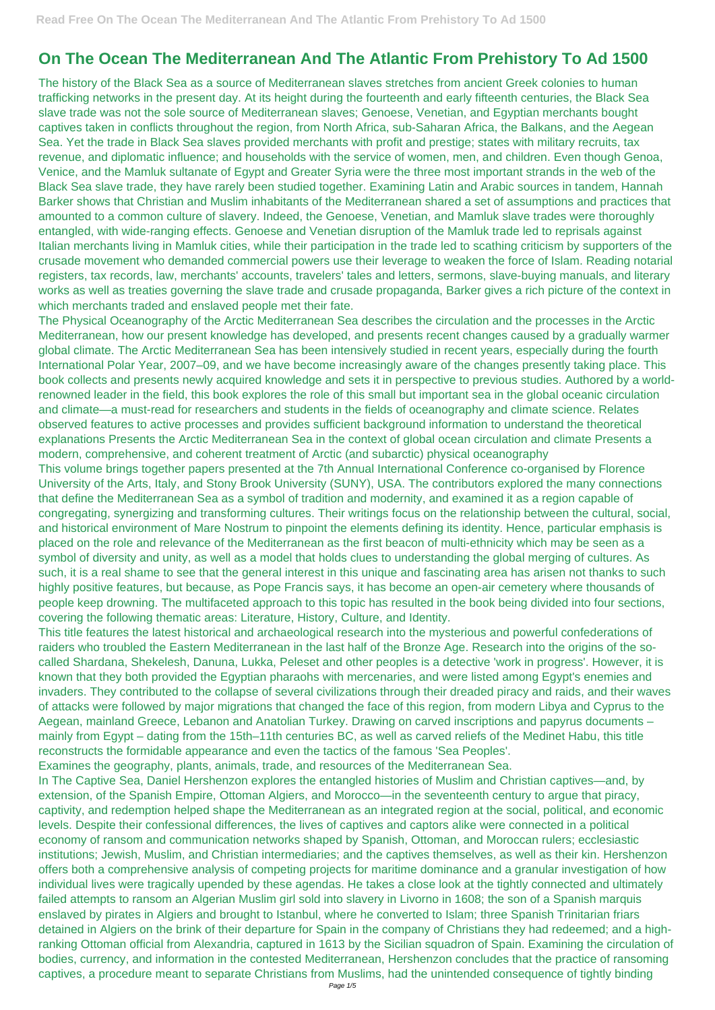## **On The Ocean The Mediterranean And The Atlantic From Prehistory To Ad 1500**

The history of the Black Sea as a source of Mediterranean slaves stretches from ancient Greek colonies to human trafficking networks in the present day. At its height during the fourteenth and early fifteenth centuries, the Black Sea slave trade was not the sole source of Mediterranean slaves; Genoese, Venetian, and Egyptian merchants bought captives taken in conflicts throughout the region, from North Africa, sub-Saharan Africa, the Balkans, and the Aegean Sea. Yet the trade in Black Sea slaves provided merchants with profit and prestige; states with military recruits, tax revenue, and diplomatic influence; and households with the service of women, men, and children. Even though Genoa, Venice, and the Mamluk sultanate of Egypt and Greater Syria were the three most important strands in the web of the Black Sea slave trade, they have rarely been studied together. Examining Latin and Arabic sources in tandem, Hannah Barker shows that Christian and Muslim inhabitants of the Mediterranean shared a set of assumptions and practices that amounted to a common culture of slavery. Indeed, the Genoese, Venetian, and Mamluk slave trades were thoroughly entangled, with wide-ranging effects. Genoese and Venetian disruption of the Mamluk trade led to reprisals against Italian merchants living in Mamluk cities, while their participation in the trade led to scathing criticism by supporters of the crusade movement who demanded commercial powers use their leverage to weaken the force of Islam. Reading notarial registers, tax records, law, merchants' accounts, travelers' tales and letters, sermons, slave-buying manuals, and literary works as well as treaties governing the slave trade and crusade propaganda, Barker gives a rich picture of the context in which merchants traded and enslaved people met their fate.

The Physical Oceanography of the Arctic Mediterranean Sea describes the circulation and the processes in the Arctic Mediterranean, how our present knowledge has developed, and presents recent changes caused by a gradually warmer global climate. The Arctic Mediterranean Sea has been intensively studied in recent years, especially during the fourth International Polar Year, 2007–09, and we have become increasingly aware of the changes presently taking place. This book collects and presents newly acquired knowledge and sets it in perspective to previous studies. Authored by a worldrenowned leader in the field, this book explores the role of this small but important sea in the global oceanic circulation and climate—a must-read for researchers and students in the fields of oceanography and climate science. Relates observed features to active processes and provides sufficient background information to understand the theoretical explanations Presents the Arctic Mediterranean Sea in the context of global ocean circulation and climate Presents a modern, comprehensive, and coherent treatment of Arctic (and subarctic) physical oceanography

This volume brings together papers presented at the 7th Annual International Conference co-organised by Florence University of the Arts, Italy, and Stony Brook University (SUNY), USA. The contributors explored the many connections that define the Mediterranean Sea as a symbol of tradition and modernity, and examined it as a region capable of congregating, synergizing and transforming cultures. Their writings focus on the relationship between the cultural, social, and historical environment of Mare Nostrum to pinpoint the elements defining its identity. Hence, particular emphasis is placed on the role and relevance of the Mediterranean as the first beacon of multi-ethnicity which may be seen as a symbol of diversity and unity, as well as a model that holds clues to understanding the global merging of cultures. As such, it is a real shame to see that the general interest in this unique and fascinating area has arisen not thanks to such highly positive features, but because, as Pope Francis says, it has become an open-air cemetery where thousands of people keep drowning. The multifaceted approach to this topic has resulted in the book being divided into four sections, covering the following thematic areas: Literature, History, Culture, and Identity.

This title features the latest historical and archaeological research into the mysterious and powerful confederations of raiders who troubled the Eastern Mediterranean in the last half of the Bronze Age. Research into the origins of the socalled Shardana, Shekelesh, Danuna, Lukka, Peleset and other peoples is a detective 'work in progress'. However, it is known that they both provided the Egyptian pharaohs with mercenaries, and were listed among Egypt's enemies and invaders. They contributed to the collapse of several civilizations through their dreaded piracy and raids, and their waves of attacks were followed by major migrations that changed the face of this region, from modern Libya and Cyprus to the Aegean, mainland Greece, Lebanon and Anatolian Turkey. Drawing on carved inscriptions and papyrus documents – mainly from Egypt – dating from the 15th–11th centuries BC, as well as carved reliefs of the Medinet Habu, this title reconstructs the formidable appearance and even the tactics of the famous 'Sea Peoples'. Examines the geography, plants, animals, trade, and resources of the Mediterranean Sea. In The Captive Sea, Daniel Hershenzon explores the entangled histories of Muslim and Christian captives—and, by extension, of the Spanish Empire, Ottoman Algiers, and Morocco—in the seventeenth century to argue that piracy, captivity, and redemption helped shape the Mediterranean as an integrated region at the social, political, and economic levels. Despite their confessional differences, the lives of captives and captors alike were connected in a political economy of ransom and communication networks shaped by Spanish, Ottoman, and Moroccan rulers; ecclesiastic institutions; Jewish, Muslim, and Christian intermediaries; and the captives themselves, as well as their kin. Hershenzon offers both a comprehensive analysis of competing projects for maritime dominance and a granular investigation of how individual lives were tragically upended by these agendas. He takes a close look at the tightly connected and ultimately failed attempts to ransom an Algerian Muslim girl sold into slavery in Livorno in 1608; the son of a Spanish marquis enslaved by pirates in Algiers and brought to Istanbul, where he converted to Islam; three Spanish Trinitarian friars detained in Algiers on the brink of their departure for Spain in the company of Christians they had redeemed; and a highranking Ottoman official from Alexandria, captured in 1613 by the Sicilian squadron of Spain. Examining the circulation of bodies, currency, and information in the contested Mediterranean, Hershenzon concludes that the practice of ransoming captives, a procedure meant to separate Christians from Muslims, had the unintended consequence of tightly binding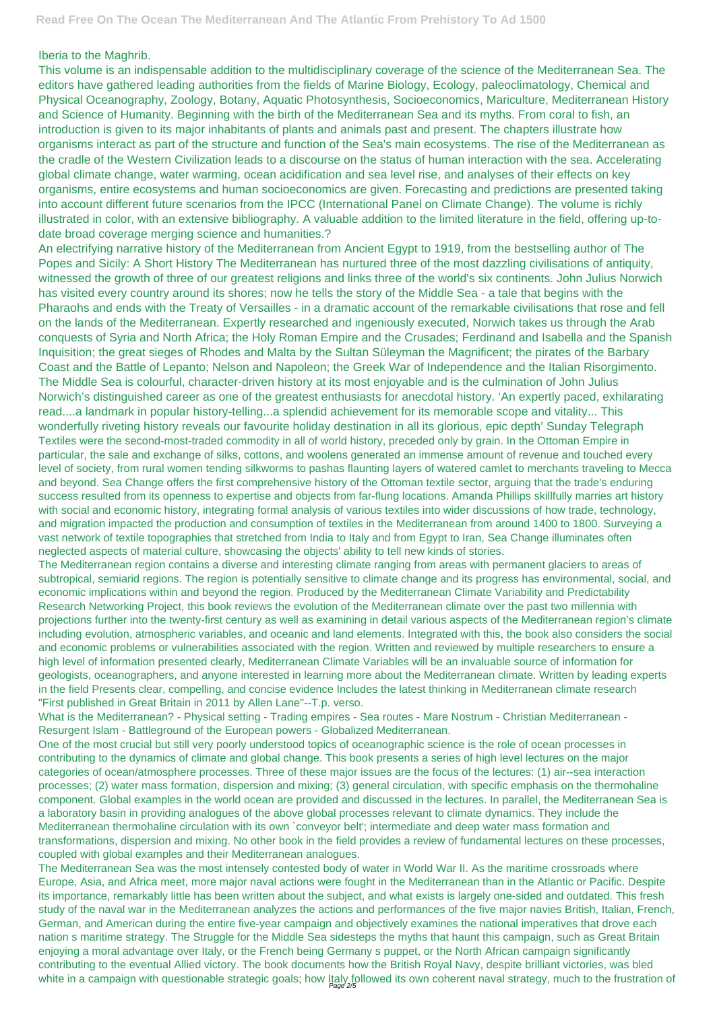## Iberia to the Maghrib.

This volume is an indispensable addition to the multidisciplinary coverage of the science of the Mediterranean Sea. The editors have gathered leading authorities from the fields of Marine Biology, Ecology, paleoclimatology, Chemical and Physical Oceanography, Zoology, Botany, Aquatic Photosynthesis, Socioeconomics, Mariculture, Mediterranean History and Science of Humanity. Beginning with the birth of the Mediterranean Sea and its myths. From coral to fish, an introduction is given to its major inhabitants of plants and animals past and present. The chapters illustrate how organisms interact as part of the structure and function of the Sea's main ecosystems. The rise of the Mediterranean as the cradle of the Western Civilization leads to a discourse on the status of human interaction with the sea. Accelerating global climate change, water warming, ocean acidification and sea level rise, and analyses of their effects on key organisms, entire ecosystems and human socioeconomics are given. Forecasting and predictions are presented taking into account different future scenarios from the IPCC (International Panel on Climate Change). The volume is richly illustrated in color, with an extensive bibliography. A valuable addition to the limited literature in the field, offering up-todate broad coverage merging science and humanities.?

An electrifying narrative history of the Mediterranean from Ancient Egypt to 1919, from the bestselling author of The Popes and Sicily: A Short History The Mediterranean has nurtured three of the most dazzling civilisations of antiquity, witnessed the growth of three of our greatest religions and links three of the world's six continents. John Julius Norwich has visited every country around its shores; now he tells the story of the Middle Sea - a tale that begins with the Pharaohs and ends with the Treaty of Versailles - in a dramatic account of the remarkable civilisations that rose and fell on the lands of the Mediterranean. Expertly researched and ingeniously executed, Norwich takes us through the Arab conquests of Syria and North Africa; the Holy Roman Empire and the Crusades; Ferdinand and Isabella and the Spanish Inquisition; the great sieges of Rhodes and Malta by the Sultan Süleyman the Magnificent; the pirates of the Barbary Coast and the Battle of Lepanto; Nelson and Napoleon; the Greek War of Independence and the Italian Risorgimento. The Middle Sea is colourful, character-driven history at its most enjoyable and is the culmination of John Julius Norwich's distinguished career as one of the greatest enthusiasts for anecdotal history. 'An expertly paced, exhilarating read....a landmark in popular history-telling...a splendid achievement for its memorable scope and vitality... This wonderfully riveting history reveals our favourite holiday destination in all its glorious, epic depth' Sunday Telegraph Textiles were the second-most-traded commodity in all of world history, preceded only by grain. In the Ottoman Empire in particular, the sale and exchange of silks, cottons, and woolens generated an immense amount of revenue and touched every level of society, from rural women tending silkworms to pashas flaunting layers of watered camlet to merchants traveling to Mecca and beyond. Sea Change offers the first comprehensive history of the Ottoman textile sector, arguing that the trade's enduring success resulted from its openness to expertise and objects from far-flung locations. Amanda Phillips skillfully marries art history with social and economic history, integrating formal analysis of various textiles into wider discussions of how trade, technology, and migration impacted the production and consumption of textiles in the Mediterranean from around 1400 to 1800. Surveying a vast network of textile topographies that stretched from India to Italy and from Egypt to Iran, Sea Change illuminates often neglected aspects of material culture, showcasing the objects' ability to tell new kinds of stories.

The Mediterranean Sea was the most intensely contested body of water in World War II. As the maritime crossroads where Europe, Asia, and Africa meet, more major naval actions were fought in the Mediterranean than in the Atlantic or Pacific. Despite its importance, remarkably little has been written about the subject, and what exists is largely one-sided and outdated. This fresh study of the naval war in the Mediterranean analyzes the actions and performances of the five major navies British, Italian, French, German, and American during the entire five-year campaign and objectively examines the national imperatives that drove each nation s maritime strategy. The Struggle for the Middle Sea sidesteps the myths that haunt this campaign, such as Great Britain enjoying a moral advantage over Italy, or the French being Germany s puppet, or the North African campaign significantly contributing to the eventual Allied victory. The book documents how the British Royal Navy, despite brilliant victories, was bled white in a campaign with questionable strategic goals; how Italy followed its own coherent naval strategy, much to the frustration of

The Mediterranean region contains a diverse and interesting climate ranging from areas with permanent glaciers to areas of subtropical, semiarid regions. The region is potentially sensitive to climate change and its progress has environmental, social, and economic implications within and beyond the region. Produced by the Mediterranean Climate Variability and Predictability Research Networking Project, this book reviews the evolution of the Mediterranean climate over the past two millennia with projections further into the twenty-first century as well as examining in detail various aspects of the Mediterranean region's climate including evolution, atmospheric variables, and oceanic and land elements. Integrated with this, the book also considers the social and economic problems or vulnerabilities associated with the region. Written and reviewed by multiple researchers to ensure a high level of information presented clearly, Mediterranean Climate Variables will be an invaluable source of information for geologists, oceanographers, and anyone interested in learning more about the Mediterranean climate. Written by leading experts in the field Presents clear, compelling, and concise evidence Includes the latest thinking in Mediterranean climate research "First published in Great Britain in 2011 by Allen Lane"--T.p. verso.

What is the Mediterranean? - Physical setting - Trading empires - Sea routes - Mare Nostrum - Christian Mediterranean - Resurgent Islam - Battleground of the European powers - Globalized Mediterranean.

One of the most crucial but still very poorly understood topics of oceanographic science is the role of ocean processes in contributing to the dynamics of climate and global change. This book presents a series of high level lectures on the major

categories of ocean/atmosphere processes. Three of these major issues are the focus of the lectures: (1) air--sea interaction processes; (2) water mass formation, dispersion and mixing; (3) general circulation, with specific emphasis on the thermohaline component. Global examples in the world ocean are provided and discussed in the lectures. In parallel, the Mediterranean Sea is a laboratory basin in providing analogues of the above global processes relevant to climate dynamics. They include the Mediterranean thermohaline circulation with its own `conveyor belt'; intermediate and deep water mass formation and transformations, dispersion and mixing. No other book in the field provides a review of fundamental lectures on these processes, coupled with global examples and their Mediterranean analogues.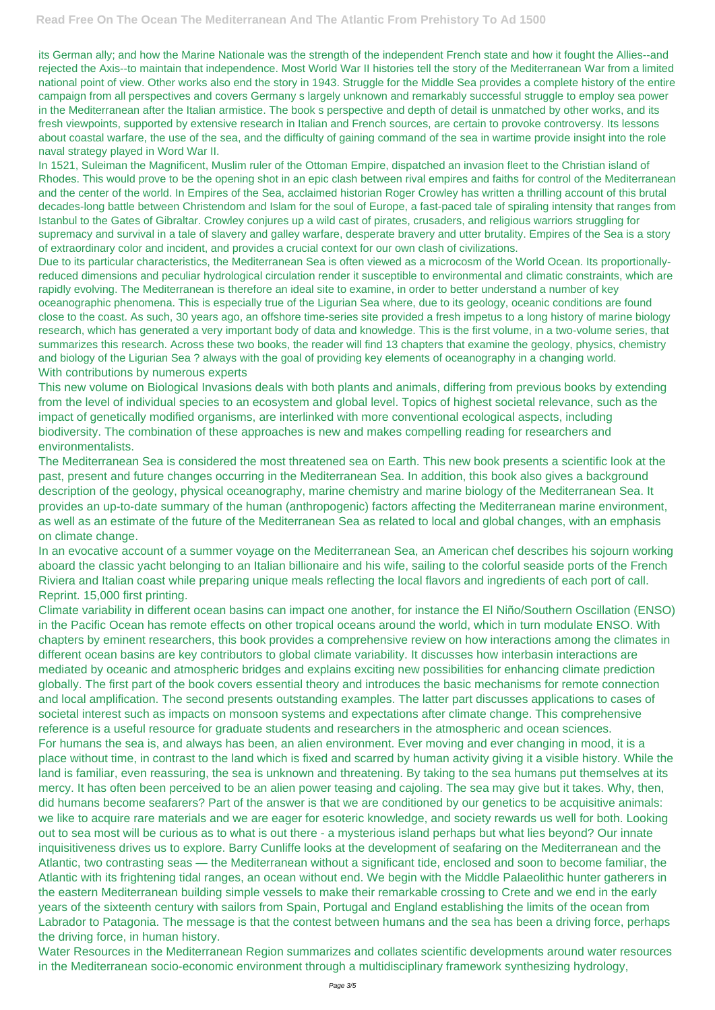its German ally; and how the Marine Nationale was the strength of the independent French state and how it fought the Allies--and rejected the Axis--to maintain that independence. Most World War II histories tell the story of the Mediterranean War from a limited national point of view. Other works also end the story in 1943. Struggle for the Middle Sea provides a complete history of the entire campaign from all perspectives and covers Germany s largely unknown and remarkably successful struggle to employ sea power in the Mediterranean after the Italian armistice. The book s perspective and depth of detail is unmatched by other works, and its fresh viewpoints, supported by extensive research in Italian and French sources, are certain to provoke controversy. Its lessons about coastal warfare, the use of the sea, and the difficulty of gaining command of the sea in wartime provide insight into the role naval strategy played in Word War II.

In 1521, Suleiman the Magnificent, Muslim ruler of the Ottoman Empire, dispatched an invasion fleet to the Christian island of Rhodes. This would prove to be the opening shot in an epic clash between rival empires and faiths for control of the Mediterranean and the center of the world. In Empires of the Sea, acclaimed historian Roger Crowley has written a thrilling account of this brutal decades-long battle between Christendom and Islam for the soul of Europe, a fast-paced tale of spiraling intensity that ranges from Istanbul to the Gates of Gibraltar. Crowley conjures up a wild cast of pirates, crusaders, and religious warriors struggling for supremacy and survival in a tale of slavery and galley warfare, desperate bravery and utter brutality. Empires of the Sea is a story of extraordinary color and incident, and provides a crucial context for our own clash of civilizations.

Due to its particular characteristics, the Mediterranean Sea is often viewed as a microcosm of the World Ocean. Its proportionallyreduced dimensions and peculiar hydrological circulation render it susceptible to environmental and climatic constraints, which are rapidly evolving. The Mediterranean is therefore an ideal site to examine, in order to better understand a number of key oceanographic phenomena. This is especially true of the Ligurian Sea where, due to its geology, oceanic conditions are found close to the coast. As such, 30 years ago, an offshore time-series site provided a fresh impetus to a long history of marine biology research, which has generated a very important body of data and knowledge. This is the first volume, in a two-volume series, that summarizes this research. Across these two books, the reader will find 13 chapters that examine the geology, physics, chemistry and biology of the Ligurian Sea ? always with the goal of providing key elements of oceanography in a changing world. With contributions by numerous experts

This new volume on Biological Invasions deals with both plants and animals, differing from previous books by extending from the level of individual species to an ecosystem and global level. Topics of highest societal relevance, such as the impact of genetically modified organisms, are interlinked with more conventional ecological aspects, including biodiversity. The combination of these approaches is new and makes compelling reading for researchers and environmentalists.

The Mediterranean Sea is considered the most threatened sea on Earth. This new book presents a scientific look at the past, present and future changes occurring in the Mediterranean Sea. In addition, this book also gives a background description of the geology, physical oceanography, marine chemistry and marine biology of the Mediterranean Sea. It provides an up-to-date summary of the human (anthropogenic) factors affecting the Mediterranean marine environment, as well as an estimate of the future of the Mediterranean Sea as related to local and global changes, with an emphasis on climate change.

In an evocative account of a summer voyage on the Mediterranean Sea, an American chef describes his sojourn working aboard the classic yacht belonging to an Italian billionaire and his wife, sailing to the colorful seaside ports of the French Riviera and Italian coast while preparing unique meals reflecting the local flavors and ingredients of each port of call. Reprint. 15,000 first printing.

Climate variability in different ocean basins can impact one another, for instance the El Niño/Southern Oscillation (ENSO) in the Pacific Ocean has remote effects on other tropical oceans around the world, which in turn modulate ENSO. With chapters by eminent researchers, this book provides a comprehensive review on how interactions among the climates in different ocean basins are key contributors to global climate variability. It discusses how interbasin interactions are mediated by oceanic and atmospheric bridges and explains exciting new possibilities for enhancing climate prediction globally. The first part of the book covers essential theory and introduces the basic mechanisms for remote connection and local amplification. The second presents outstanding examples. The latter part discusses applications to cases of societal interest such as impacts on monsoon systems and expectations after climate change. This comprehensive reference is a useful resource for graduate students and researchers in the atmospheric and ocean sciences. For humans the sea is, and always has been, an alien environment. Ever moving and ever changing in mood, it is a place without time, in contrast to the land which is fixed and scarred by human activity giving it a visible history. While the land is familiar, even reassuring, the sea is unknown and threatening. By taking to the sea humans put themselves at its mercy. It has often been perceived to be an alien power teasing and cajoling. The sea may give but it takes. Why, then, did humans become seafarers? Part of the answer is that we are conditioned by our genetics to be acquisitive animals: we like to acquire rare materials and we are eager for esoteric knowledge, and society rewards us well for both. Looking out to sea most will be curious as to what is out there - a mysterious island perhaps but what lies beyond? Our innate inquisitiveness drives us to explore. Barry Cunliffe looks at the development of seafaring on the Mediterranean and the Atlantic, two contrasting seas — the Mediterranean without a significant tide, enclosed and soon to become familiar, the Atlantic with its frightening tidal ranges, an ocean without end. We begin with the Middle Palaeolithic hunter gatherers in the eastern Mediterranean building simple vessels to make their remarkable crossing to Crete and we end in the early years of the sixteenth century with sailors from Spain, Portugal and England establishing the limits of the ocean from Labrador to Patagonia. The message is that the contest between humans and the sea has been a driving force, perhaps the driving force, in human history. Water Resources in the Mediterranean Region summarizes and collates scientific developments around water resources in the Mediterranean socio-economic environment through a multidisciplinary framework synthesizing hydrology,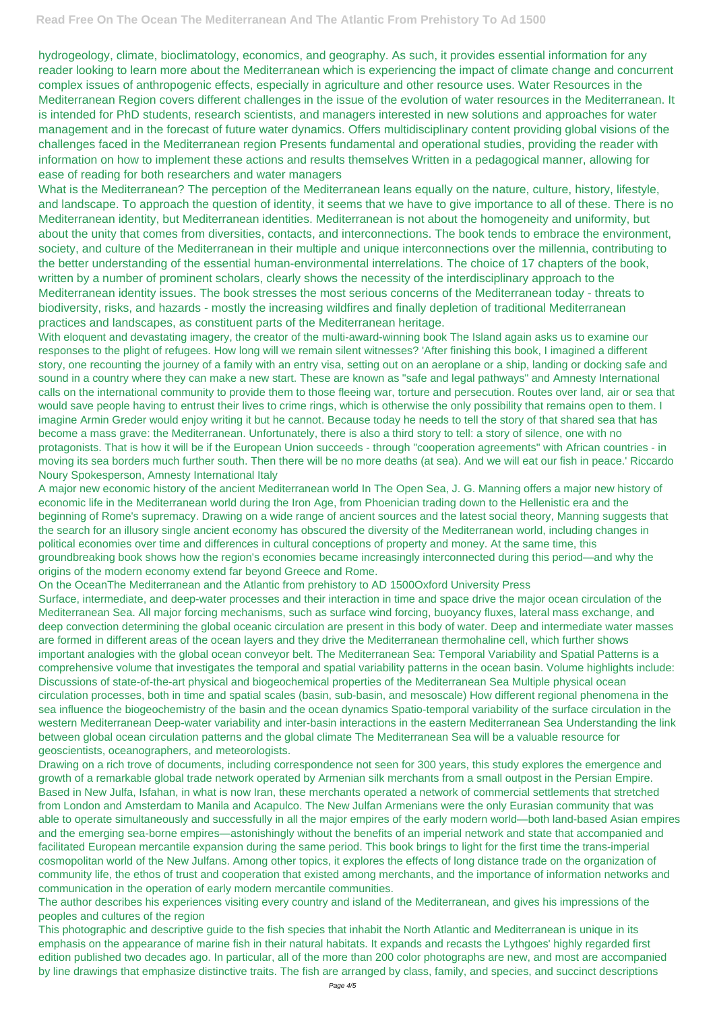hydrogeology, climate, bioclimatology, economics, and geography. As such, it provides essential information for any reader looking to learn more about the Mediterranean which is experiencing the impact of climate change and concurrent complex issues of anthropogenic effects, especially in agriculture and other resource uses. Water Resources in the Mediterranean Region covers different challenges in the issue of the evolution of water resources in the Mediterranean. It is intended for PhD students, research scientists, and managers interested in new solutions and approaches for water management and in the forecast of future water dynamics. Offers multidisciplinary content providing global visions of the challenges faced in the Mediterranean region Presents fundamental and operational studies, providing the reader with information on how to implement these actions and results themselves Written in a pedagogical manner, allowing for ease of reading for both researchers and water managers

What is the Mediterranean? The perception of the Mediterranean leans equally on the nature, culture, history, lifestyle, and landscape. To approach the question of identity, it seems that we have to give importance to all of these. There is no Mediterranean identity, but Mediterranean identities. Mediterranean is not about the homogeneity and uniformity, but about the unity that comes from diversities, contacts, and interconnections. The book tends to embrace the environment, society, and culture of the Mediterranean in their multiple and unique interconnections over the millennia, contributing to the better understanding of the essential human-environmental interrelations. The choice of 17 chapters of the book, written by a number of prominent scholars, clearly shows the necessity of the interdisciplinary approach to the Mediterranean identity issues. The book stresses the most serious concerns of the Mediterranean today - threats to biodiversity, risks, and hazards - mostly the increasing wildfires and finally depletion of traditional Mediterranean practices and landscapes, as constituent parts of the Mediterranean heritage.

With eloquent and devastating imagery, the creator of the multi-award-winning book The Island again asks us to examine our responses to the plight of refugees. How long will we remain silent witnesses? 'After finishing this book, I imagined a different story, one recounting the journey of a family with an entry visa, setting out on an aeroplane or a ship, landing or docking safe and sound in a country where they can make a new start. These are known as "safe and legal pathways" and Amnesty International calls on the international community to provide them to those fleeing war, torture and persecution. Routes over land, air or sea that would save people having to entrust their lives to crime rings, which is otherwise the only possibility that remains open to them. I imagine Armin Greder would enjoy writing it but he cannot. Because today he needs to tell the story of that shared sea that has become a mass grave: the Mediterranean. Unfortunately, there is also a third story to tell: a story of silence, one with no protagonists. That is how it will be if the European Union succeeds - through "cooperation agreements" with African countries - in moving its sea borders much further south. Then there will be no more deaths (at sea). And we will eat our fish in peace.' Riccardo Noury Spokesperson, Amnesty International Italy

A major new economic history of the ancient Mediterranean world In The Open Sea, J. G. Manning offers a major new history of economic life in the Mediterranean world during the Iron Age, from Phoenician trading down to the Hellenistic era and the beginning of Rome's supremacy. Drawing on a wide range of ancient sources and the latest social theory, Manning suggests that the search for an illusory single ancient economy has obscured the diversity of the Mediterranean world, including changes in political economies over time and differences in cultural conceptions of property and money. At the same time, this groundbreaking book shows how the region's economies became increasingly interconnected during this period—and why the origins of the modern economy extend far beyond Greece and Rome.

On the OceanThe Mediterranean and the Atlantic from prehistory to AD 1500Oxford University Press Surface, intermediate, and deep-water processes and their interaction in time and space drive the major ocean circulation of the Mediterranean Sea. All major forcing mechanisms, such as surface wind forcing, buoyancy fluxes, lateral mass exchange, and deep convection determining the global oceanic circulation are present in this body of water. Deep and intermediate water masses are formed in different areas of the ocean layers and they drive the Mediterranean thermohaline cell, which further shows important analogies with the global ocean conveyor belt. The Mediterranean Sea: Temporal Variability and Spatial Patterns is a comprehensive volume that investigates the temporal and spatial variability patterns in the ocean basin. Volume highlights include: Discussions of state-of-the-art physical and biogeochemical properties of the Mediterranean Sea Multiple physical ocean circulation processes, both in time and spatial scales (basin, sub-basin, and mesoscale) How different regional phenomena in the sea influence the biogeochemistry of the basin and the ocean dynamics Spatio-temporal variability of the surface circulation in the western Mediterranean Deep-water variability and inter-basin interactions in the eastern Mediterranean Sea Understanding the link between global ocean circulation patterns and the global climate The Mediterranean Sea will be a valuable resource for geoscientists, oceanographers, and meteorologists.

Drawing on a rich trove of documents, including correspondence not seen for 300 years, this study explores the emergence and growth of a remarkable global trade network operated by Armenian silk merchants from a small outpost in the Persian Empire. Based in New Julfa, Isfahan, in what is now Iran, these merchants operated a network of commercial settlements that stretched from London and Amsterdam to Manila and Acapulco. The New Julfan Armenians were the only Eurasian community that was able to operate simultaneously and successfully in all the major empires of the early modern world—both land-based Asian empires and the emerging sea-borne empires—astonishingly without the benefits of an imperial network and state that accompanied and facilitated European mercantile expansion during the same period. This book brings to light for the first time the trans-imperial cosmopolitan world of the New Julfans. Among other topics, it explores the effects of long distance trade on the organization of community life, the ethos of trust and cooperation that existed among merchants, and the importance of information networks and communication in the operation of early modern mercantile communities.

The author describes his experiences visiting every country and island of the Mediterranean, and gives his impressions of the peoples and cultures of the region

This photographic and descriptive guide to the fish species that inhabit the North Atlantic and Mediterranean is unique in its emphasis on the appearance of marine fish in their natural habitats. It expands and recasts the Lythgoes' highly regarded first edition published two decades ago. In particular, all of the more than 200 color photographs are new, and most are accompanied by line drawings that emphasize distinctive traits. The fish are arranged by class, family, and species, and succinct descriptions